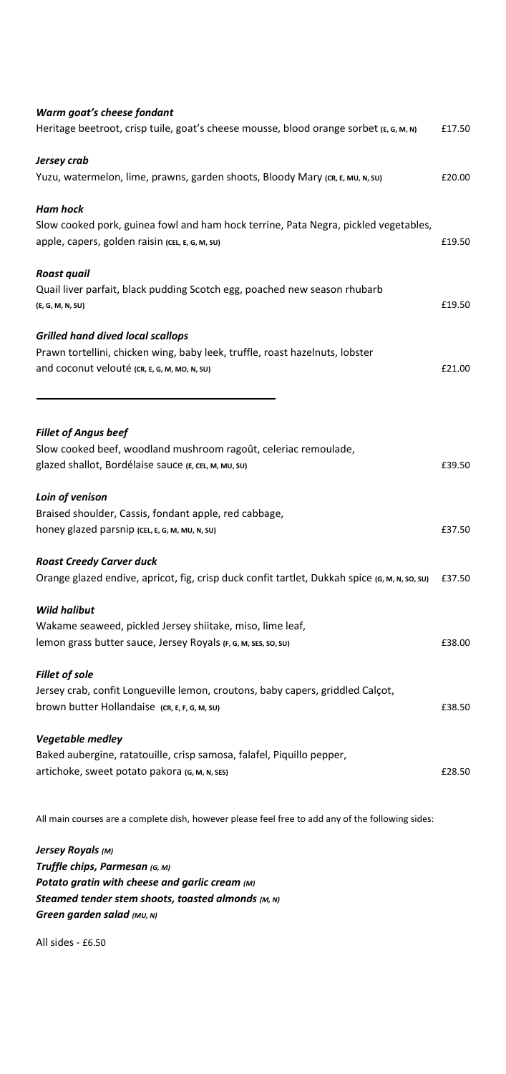| Warm goat's cheese fondant                                                                        |        |  |
|---------------------------------------------------------------------------------------------------|--------|--|
| Heritage beetroot, crisp tuile, goat's cheese mousse, blood orange sorbet (E, G, M, N)            | £17.50 |  |
| Jersey crab                                                                                       |        |  |
| Yuzu, watermelon, lime, prawns, garden shoots, Bloody Mary (CR, E, MU, N, SU)                     | £20.00 |  |
| Ham hock                                                                                          |        |  |
| Slow cooked pork, guinea fowl and ham hock terrine, Pata Negra, pickled vegetables,               |        |  |
| apple, capers, golden raisin (CEL, E, G, M, SU)                                                   | £19.50 |  |
| Roast quail                                                                                       |        |  |
| Quail liver parfait, black pudding Scotch egg, poached new season rhubarb                         |        |  |
| (E, G, M, N, SU)                                                                                  | £19.50 |  |
| <b>Grilled hand dived local scallops</b>                                                          |        |  |
| Prawn tortellini, chicken wing, baby leek, truffle, roast hazelnuts, lobster                      |        |  |
| and coconut velouté (CR, E, G, M, MO, N, SU)                                                      | £21.00 |  |
|                                                                                                   |        |  |
| <b>Fillet of Angus beef</b>                                                                       |        |  |
| Slow cooked beef, woodland mushroom ragoût, celeriac remoulade,                                   |        |  |
| glazed shallot, Bordélaise sauce (E, CEL, M, MU, SU)                                              | £39.50 |  |
| Loin of venison                                                                                   |        |  |
| Braised shoulder, Cassis, fondant apple, red cabbage,                                             |        |  |
| honey glazed parsnip (CEL, E, G, M, MU, N, SU)                                                    | £37.50 |  |
| <b>Roast Creedy Carver duck</b>                                                                   |        |  |
| Orange glazed endive, apricot, fig, crisp duck confit tartlet, Dukkah spice (G, M, N, so, su)     | £37.50 |  |
| <b>Wild halibut</b>                                                                               |        |  |
| Wakame seaweed, pickled Jersey shiitake, miso, lime leaf,                                         |        |  |
| lemon grass butter sauce, Jersey Royals (F, G, M, SES, SO, SU)                                    | £38.00 |  |
| <b>Fillet of sole</b>                                                                             |        |  |
| Jersey crab, confit Longueville lemon, croutons, baby capers, griddled Calçot,                    |        |  |
| brown butter Hollandaise (CR, E, F, G, M, SU)                                                     | £38.50 |  |
| <b>Vegetable medley</b>                                                                           |        |  |
| Baked aubergine, ratatouille, crisp samosa, falafel, Piquillo pepper,                             |        |  |
| artichoke, sweet potato pakora (G, M, N, SES)                                                     | £28.50 |  |
| All main courses are a complete dish, however please feel free to add any of the following sides: |        |  |
| Jersey Royals (M)                                                                                 |        |  |
| Truffle chips, Parmesan (G, м)                                                                    |        |  |
| Potato gratin with cheese and garlic cream (M)                                                    |        |  |
| Steamed tender stem shoots, toasted almonds (M, N)                                                |        |  |
| Green garden salad (MU, N)                                                                        |        |  |

All sides - £6.50